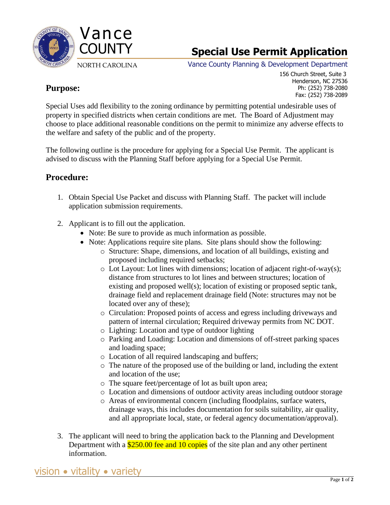

Vance County Planning & Development Department

### **Purpose:**

 156 Church Street, Suite 3 Henderson, NC 27536 Ph: (252) 738-2080 Fax: (252) 738-2089

Special Uses add flexibility to the zoning ordinance by permitting potential undesirable uses of property in specified districts when certain conditions are met. The Board of Adjustment may choose to place additional reasonable conditions on the permit to minimize any adverse effects to the welfare and safety of the public and of the property.

The following outline is the procedure for applying for a Special Use Permit. The applicant is advised to discuss with the Planning Staff before applying for a Special Use Permit.

### **Procedure:**

- 1. Obtain Special Use Packet and discuss with Planning Staff. The packet will include application submission requirements.
- 2. Applicant is to fill out the application.
	- Note: Be sure to provide as much information as possible.
	- Note: Applications require site plans. Site plans should show the following:
		- o Structure: Shape, dimensions, and location of all buildings, existing and proposed including required setbacks;
		- $\circ$  Lot Layout: Lot lines with dimensions; location of adjacent right-of-way(s); distance from structures to lot lines and between structures; location of existing and proposed well(s); location of existing or proposed septic tank, drainage field and replacement drainage field (Note: structures may not be located over any of these);
		- o Circulation: Proposed points of access and egress including driveways and pattern of internal circulation; Required driveway permits from NC DOT.
		- o Lighting: Location and type of outdoor lighting
		- o Parking and Loading: Location and dimensions of off-street parking spaces and loading space;
		- o Location of all required landscaping and buffers;
		- o The nature of the proposed use of the building or land, including the extent and location of the use;
		- o The square feet/percentage of lot as built upon area;
		- o Location and dimensions of outdoor activity areas including outdoor storage
		- o Areas of environmental concern (including floodplains, surface waters, drainage ways, this includes documentation for soils suitability, air quality, and all appropriate local, state, or federal agency documentation/approval).
- 3. The applicant will need to bring the application back to the Planning and Development Department with a \$250.00 fee and 10 copies of the site plan and any other pertinent information.

vision vitality variety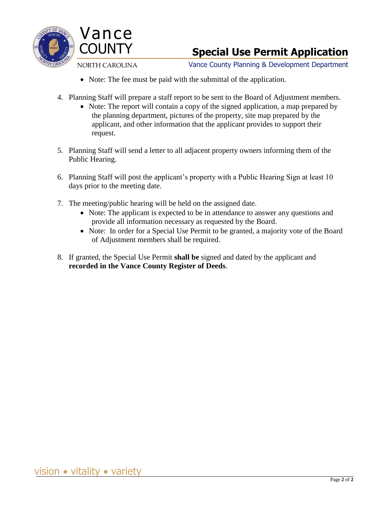

Vance County Planning & Development Department

- Note: The fee must be paid with the submittal of the application.
- 4. Planning Staff will prepare a staff report to be sent to the Board of Adjustment members.
	- Ining Start will prepare a start report to be sent to the Board of Adjustment members<br>• Note: The report will contain a copy of the signed application, a map prepared by the planning department, pictures of the property, site map prepared by the applicant, and other information that the applicant provides to support their request.
- 5. Planning Staff will send a letter to all adjacent property owners informing them of the Public Hearing.
- 6. Planning Staff will post the applicant's property with a Public Hearing Sign at least 10 days prior to the meeting date.
- 7. The meeting/public hearing will be held on the assigned date.
	- Note: The applicant is expected to be in attendance to answer any questions and provide all information necessary as requested by the Board.
	- Note: In order for a Special Use Permit to be granted, a majority vote of the Board of Adjustment members shall be required.
- 8. If granted, the Special Use Permit **shall be** signed and dated by the applicant and **recorded in the Vance County Register of Deeds**.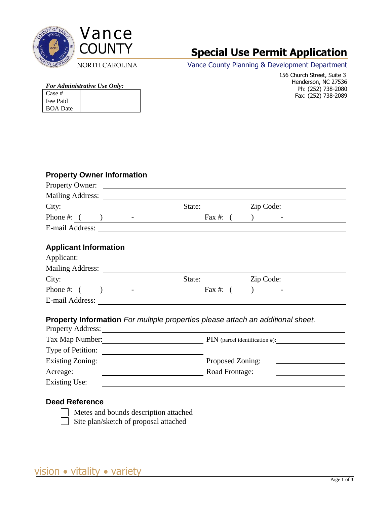



Vance County Planning & Development Department

*For Administrative Use Only:*

| Case #          |  |
|-----------------|--|
| Fee Paid        |  |
| <b>BOA</b> Date |  |

 156 Church Street, Suite 3 Henderson, NC 27536 Ph: (252) 738-2080 Fax: (252) 738-2089

#### **Property Owner Information**

| Property Owner:              |                                                                                        |                          |
|------------------------------|----------------------------------------------------------------------------------------|--------------------------|
|                              |                                                                                        |                          |
| City:                        |                                                                                        | State: <u>Zip Code:</u>  |
| Phone #: $($ $)$ $-$         | Fax #: $($                                                                             | $\overline{\phantom{a}}$ |
|                              |                                                                                        |                          |
| <b>Applicant Information</b> |                                                                                        |                          |
| Applicant:                   |                                                                                        |                          |
|                              |                                                                                        |                          |
| City:                        |                                                                                        | Zip Code:                |
| Phone #: $($ <u>)</u> -      | Fax #: $($                                                                             |                          |
|                              |                                                                                        |                          |
|                              | <b>Property Information</b> For multiple properties please attach an additional sheet. |                          |
|                              |                                                                                        |                          |
| Type of Petition:            |                                                                                        |                          |
|                              | Proposed Zoning:                                                                       |                          |
| Acreage:                     | Road Frontage:                                                                         |                          |
| <b>Existing Use:</b>         |                                                                                        |                          |

#### **Deed Reference**

 Metes and bounds description attached Site plan/sketch of proposal attached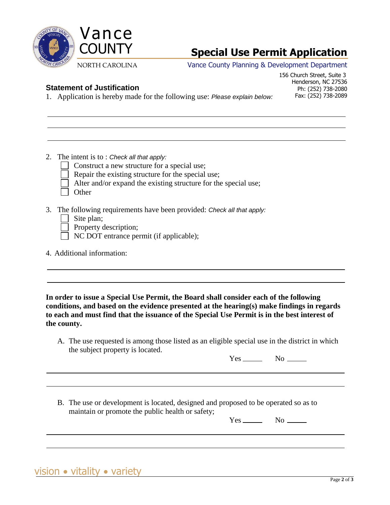

Vance County Planning & Development Department

#### **Statement of Justification**

 156 Church Street, Suite 3 Henderson, NC 27536 Ph: (252) 738-2080 Fax: (252) 738-2089

- 1. Application is hereby made for the following use: *Please explain below:*
- 2. The intent is to : *Check all that apply:*
	- Construct a new structure for a special use;
	- Repair the existing structure for the special use;
	- Alter and/or expand the existing structure for the special use;
	- **Other**
- 3. The following requirements have been provided: *Check all that apply:*

|  | Site plan; |
|--|------------|
|  |            |

- Property description;
- NC DOT entrance permit (if applicable);
- 4. Additional information:

**In order to issue a Special Use Permit, the Board shall consider each of the following conditions, and based on the evidence presented at the hearing(s) make findings in regards to each and must find that the issuance of the Special Use Permit is in the best interest of the county.**

A. The use requested is among those listed as an eligible special use in the district in which the subject property is located.

 $Yes$  No  $\qquad$ 

B. The use or development is located, designed and proposed to be operated so as to maintain or promote the public health or safety;

 $Yes$  No  $\_\_\$